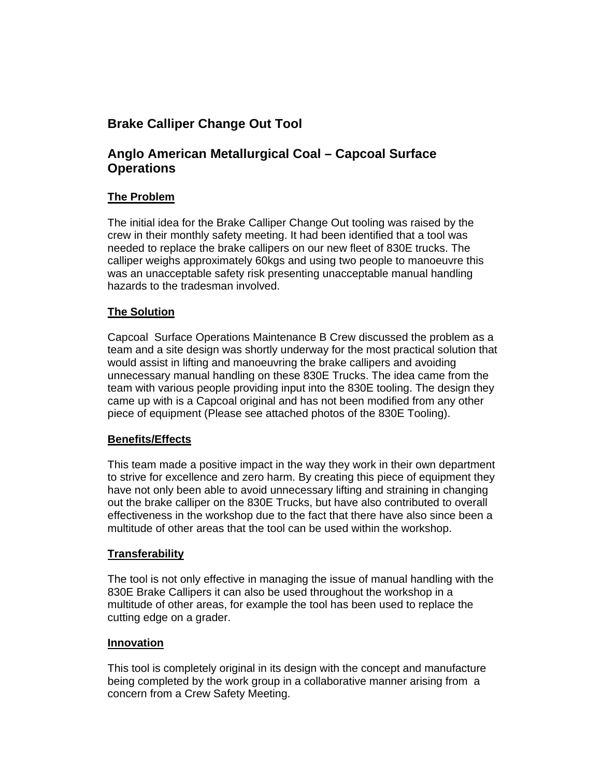# **Brake Calliper Change Out Tool**

## **Anglo American Metallurgical Coal – Capcoal Surface Operations**

### **The Problem**

The initial idea for the Brake Calliper Change Out tooling was raised by the crew in their monthly safety meeting. It had been identified that a tool was needed to replace the brake callipers on our new fleet of 830E trucks. The calliper weighs approximately 60kgs and using two people to manoeuvre this was an unacceptable safety risk presenting unacceptable manual handling hazards to the tradesman involved.

#### **The Solution**

Capcoal Surface Operations Maintenance B Crew discussed the problem as a team and a site design was shortly underway for the most practical solution that would assist in lifting and manoeuvring the brake callipers and avoiding unnecessary manual handling on these 830E Trucks. The idea came from the team with various people providing input into the 830E tooling. The design they came up with is a Capcoal original and has not been modified from any other piece of equipment (Please see attached photos of the 830E Tooling).

#### **Benefits/Effects**

This team made a positive impact in the way they work in their own department to strive for excellence and zero harm. By creating this piece of equipment they have not only been able to avoid unnecessary lifting and straining in changing out the brake calliper on the 830E Trucks, but have also contributed to overall effectiveness in the workshop due to the fact that there have also since been a multitude of other areas that the tool can be used within the workshop.

#### **Transferability**

The tool is not only effective in managing the issue of manual handling with the 830E Brake Callipers it can also be used throughout the workshop in a multitude of other areas, for example the tool has been used to replace the cutting edge on a grader.

#### **Innovation**

This tool is completely original in its design with the concept and manufacture being completed by the work group in a collaborative manner arising from a concern from a Crew Safety Meeting.